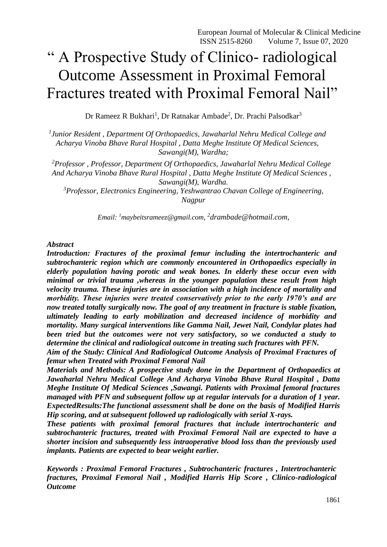# " A Prospective Study of Clinico- radiological Outcome Assessment in Proximal Femoral Fractures treated with Proximal Femoral Nail"

Dr Rameez R Bukhari<sup>1</sup>, Dr Ratnakar Ambade<sup>2</sup>, Dr. Prachi Palsodkar<sup>3</sup>

*1 Junior Resident , Department Of Orthopaedics, Jawaharlal Nehru Medical College and Acharya Vinoba Bhave Rural Hospital , Datta Meghe Institute Of Medical Sciences, Sawangi(M), Wardha;*

*<sup>2</sup>Professor , Professor, Department Of Orthopaedics, Jawaharlal Nehru Medical College And Acharya Vinoba Bhave Rural Hospital , Datta Meghe Institute Of Medical Sciences , Sawangi(M), Wardha.*

*<sup>3</sup>Professor, Electronics Engineering, Yeshwantrao Chavan College of Engineering, Nagpur*

*Email: <sup>1</sup>[maybeitsrameez@gmail.com,](mailto:1maybeitsrameez@gmail.com) 2 [drambade@hotmail.com,](mailto:drambade@hotmail.com,)*

#### *Abstract*

*Introduction: Fractures of the proximal femur including the intertrochanteric and subtrochanteric region which are commonly encountered in Orthopaedics especially in elderly population having porotic and weak bones. In elderly these occur even with minimal or trivial trauma ,whereas in the younger population these result from high velocity trauma. These injuries are in association with a high incidence of mortality and morbidity. These injuries were treated conservatively prior to the early 1970's and are now treated totally surgically now. The goal of any treatment in fracture is stable fixation, ultimately leading to early mobilization and decreased incidence of morbidity and mortality. Many surgical interventions like Gamma Nail, Jewet Nail, Condylar plates had been tried but the outcomes were not very satisfactory, so we conducted a study to determine the clinical and radiological outcome in treating such fractures with PFN.*

*Aim of the Study: Clinical And Radiological Outcome Analysis of Proximal Fractures of femur when Treated with Proximal Femoral Nail*

*Materials and Methods: A prospective study done in the Department of Orthopaedics at Jawaharlal Nehru Medical College And Acharya Vinoba Bhave Rural Hospital , Datta Meghe Institute Of Medical Sciences ,Sawangi. Patients with Proximal femoral fractures managed with PFN and subsequent follow up at regular intervals for a duration of 1 year. ExpectedResults:The functional assessment shall be done on the basis of Modified Harris Hip scoring, and at subsequent followed up radiologically with serial X-rays.*

*These patients with proximal femoral fractures that include intertrochanteric and subtrochanteric fractures, treated with Proximal Femoral Nail are expected to have a shorter incision and subsequently less intraoperative blood loss than the previously used implants. Patients are expected to bear weight earlier.*

*Keywords : Proximal Femoral Fractures , Subtrochanteric fractures , Intertrochanteric fractures, Proximal Femoral Nail , Modified Harris Hip Score , Clinico-radiological Outcome*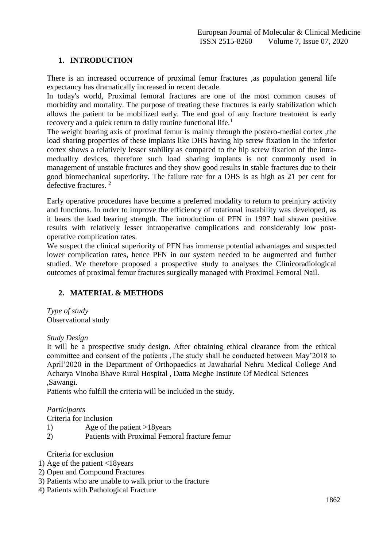# **1. INTRODUCTION**

There is an increased occurrence of proximal femur fractures ,as population general life expectancy has dramatically increased in recent decade.

In today's world, Proximal femoral fractures are one of the most common causes of morbidity and mortality. The purpose of treating these fractures is early stabilization which allows the patient to be mobilized early. The end goal of any fracture treatment is early recovery and a quick return to daily routine functional life.<sup>1</sup>

The weight bearing axis of proximal femur is mainly through the postero-medial cortex ,the load sharing properties of these implants like DHS having hip screw fixation in the inferior cortex shows a relatively lesser stability as compared to the hip screw fixation of the intrameduallry devices, therefore such load sharing implants is not commonly used in management of unstable fractures and they show good results in stable fractures due to their good biomechanical superiority. The failure rate for a DHS is as high as 21 per cent for defective fractures. <sup>2</sup>

Early operative procedures have become a preferred modality to return to preinjury activity and functions. In order to improve the efficiency of rotational instability was developed, as it bears the load bearing strength. The introduction of PFN in 1997 had shown positive results with relatively lesser intraoperative complications and considerably low postoperative complication rates.

We suspect the clinical superiority of PFN has immense potential advantages and suspected lower complication rates, hence PFN in our system needed to be augmented and further studied. We therefore proposed a prospective study to analyses the Clinicoradiological outcomes of proximal femur fractures surgically managed with Proximal Femoral Nail.

## **2. MATERIAL & METHODS**

*Type of study* Observational study

*Study Design*

It will be a prospective study design. After obtaining ethical clearance from the ethical committee and consent of the patients ,The study shall be conducted between May'2018 to April'2020 in the Department of Orthopaedics at Jawaharlal Nehru Medical College And Acharya Vinoba Bhave Rural Hospital , Datta Meghe Institute Of Medical Sciences ,Sawangi.

Patients who fulfill the criteria will be included in the study.

## *Participants*

Criteria for Inclusion

- 1) Age of the patient >18years
- 2) Patients with Proximal Femoral fracture femur

Criteria for exclusion

- 1) Age of the patient <18years
- 2) Open and Compound Fractures
- 3) Patients who are unable to walk prior to the fracture
- 4) Patients with Pathological Fracture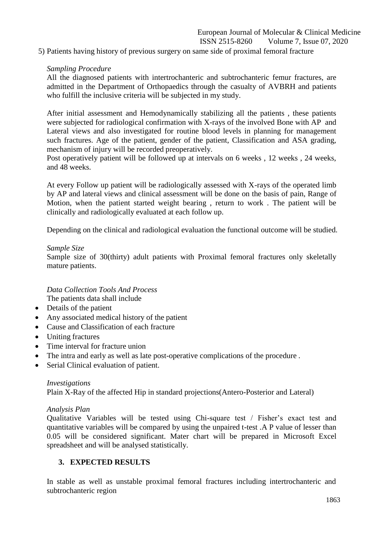5) Patients having history of previous surgery on same side of proximal femoral fracture

## *Sampling Procedure*

All the diagnosed patients with intertrochanteric and subtrochanteric femur fractures, are admitted in the Department of Orthopaedics through the casualty of AVBRH and patients who fulfill the inclusive criteria will be subjected in my study.

After initial assessment and Hemodynamically stabilizing all the patients , these patients were subjected for radiological confirmation with X-rays of the involved Bone with AP and Lateral views and also investigated for routine blood levels in planning for management such fractures. Age of the patient, gender of the patient, Classification and ASA grading, mechanism of injury will be recorded preoperatively.

Post operatively patient will be followed up at intervals on 6 weeks , 12 weeks , 24 weeks, and 48 weeks.

At every Follow up patient will be radiologically assessed with X-rays of the operated limb by AP and lateral views and clinical assessment will be done on the basis of pain, Range of Motion, when the patient started weight bearing , return to work . The patient will be clinically and radiologically evaluated at each follow up.

Depending on the clinical and radiological evaluation the functional outcome will be studied.

#### *Sample Size*

Sample size of 30(thirty) adult patients with Proximal femoral fractures only skeletally mature patients.

*Data Collection Tools And Process* The patients data shall include

- Details of the patient
- Any associated medical history of the patient
- Cause and Classification of each fracture
- Uniting fractures
- Time interval for fracture union
- The intra and early as well as late post-operative complications of the procedure .
- Serial Clinical evaluation of patient.

## *Investigations*

Plain X-Ray of the affected Hip in standard projections(Antero-Posterior and Lateral)

#### *Analysis Plan*

Qualitative Variables will be tested using Chi-square test / Fisher's exact test and quantitative variables will be compared by using the unpaired t-test .A P value of lesser than 0.05 will be considered significant. Mater chart will be prepared in Microsoft Excel spreadsheet and will be analysed statistically.

# **3. EXPECTED RESULTS**

In stable as well as unstable proximal femoral fractures including intertrochanteric and subtrochanteric region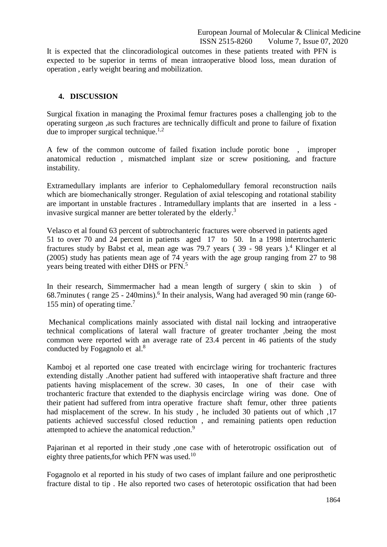European Journal of Molecular & Clinical Medicine ISSN 2515-8260 Volume 7, Issue 07, 2020

It is expected that the clincoradiological outcomes in these patients treated with PFN is expected to be superior in terms of mean intraoperative blood loss, mean duration of operation , early weight bearing and mobilization.

## **4. DISCUSSION**

Surgical fixation in managing the Proximal femur fractures poses a challenging job to the operating surgeon ,as such fractures are technically difficult and prone to failure of fixation due to improper surgical technique.<sup>1,2</sup>

A few of the common outcome of failed fixation include porotic bone , improper anatomical reduction , mismatched implant size or screw positioning, and fracture instability.

Extramedullary implants are inferior to Cephalomedullary femoral reconstruction nails which are biomechanically stronger. Regulation of axial telescoping and rotational stability are important in unstable fractures . Intramedullary implants that are inserted in a less invasive surgical manner are better tolerated by the elderly.<sup>3</sup>

Velasco et al found 63 percent of subtrochanteric fractures were observed in patients aged 51 to over 70 and 24 percent in patients aged 17 to 50. In a 1998 intertrochanteric fractures study by Babst et al, mean age was  $79.7$  years ( $39 - 98$  years).<sup>4</sup> Klinger et al (2005) study has patients mean age of 74 years with the age group ranging from 27 to 98 years being treated with either DHS or PFN.<sup>5</sup>

In their research, Simmermacher had a mean length of surgery ( skin to skin ) of 68.7minutes (range 25 - 240mins).<sup>6</sup> In their analysis, Wang had averaged 90 min (range 60-155 min) of operating time.<sup>7</sup>

Mechanical complications mainly associated with distal nail locking and intraoperative technical complications of lateral wall fracture of greater trochanter ,being the most common were reported with an average rate of 23.4 percent in 46 patients of the study conducted by Fogagnolo et al.<sup>8</sup>

Kamboj et al reported one case treated with encirclage wiring for trochanteric fractures extending distally .Another patient had suffered with intaoperative shaft fracture and three patients having misplacement of the screw. 30 cases, In one of their case with trochanteric fracture that extended to the diaphysis encirclage wiring was done. One of their patient had suffered from intra operative fracture shaft femur, other three patients had misplacement of the screw. In his study , he included 30 patients out of which ,17 patients achieved successful closed reduction , and remaining patients open reduction attempted to achieve the anatomical reduction.<sup>9</sup>

Pajarinan et al reported in their study ,one case with of heterotropic ossification out of eighty three patients, for which PFN was used. $10$ 

Fogagnolo et al reported in his study of two cases of implant failure and one periprosthetic fracture distal to tip . He also reported two cases of heterotopic ossification that had been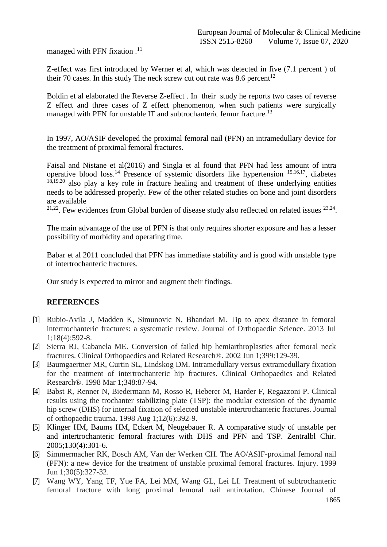managed with PFN fixation .<sup>11</sup>

Z-effect was first introduced by Werner et al, which was detected in five (7.1 percent ) of their 70 cases. In this study The neck screw cut out rate was 8.6 percent<sup>12</sup>

Boldin et al elaborated the Reverse Z-effect . In their study he reports two cases of reverse Z effect and three cases of Z effect phenomenon, when such patients were surgically managed with PFN for unstable IT and subtrochanteric femur fracture.<sup>13</sup>

In 1997, AO/ASIF developed the proximal femoral nail (PFN) an intramedullary device for the treatment of proximal femoral fractures.

Faisal and Nistane et al(2016) and Singla et al found that PFN had less amount of intra operative blood loss.<sup>14</sup> Presence of systemic disorders like hypertension  $15,16,17$ , diabetes  $18,19,20$  also play a key role in fracture healing and treatment of these underlying entities needs to be addressed properly. Few of the other related studies on bone and joint disorders are available

 $21,22$ . Few evidences from Global burden of disease study also reflected on related issues  $23,24$ .

The main advantage of the use of PFN is that only requires shorter exposure and has a lesser possibility of morbidity and operating time.

Babar et al 2011 concluded that PFN has immediate stability and is good with unstable type of intertrochanteric fractures.

Our study is expected to mirror and augment their findings.

## **REFERENCES**

- [1] Rubio-Avila J, Madden K, Simunovic N, Bhandari M. Tip to apex distance in femoral intertrochanteric fractures: a systematic review. Journal of Orthopaedic Science. 2013 Jul 1;18(4):592-8.
- [2] Sierra RJ, Cabanela ME. Conversion of failed hip hemiarthroplasties after femoral neck fractures. Clinical Orthopaedics and Related Research®. 2002 Jun 1;399:129-39.
- [3] Baumgaertner MR, Curtin SL, Lindskog DM. Intramedullary versus extramedullary fixation for the treatment of intertrochanteric hip fractures. Clinical Orthopaedics and Related Research®. 1998 Mar 1;348:87-94.
- [4] Babst R, Renner N, Biedermann M, Rosso R, Heberer M, Harder F, Regazzoni P. Clinical results using the trochanter stabilizing plate (TSP): the modular extension of the dynamic hip screw (DHS) for internal fixation of selected unstable intertrochanteric fractures. Journal of orthopaedic trauma. 1998 Aug 1;12(6):392-9.
- [5] Klinger HM, Baums HM, Eckert M, Neugebauer R. A comparative study of unstable per and intertrochanteric femoral fractures with DHS and PFN and TSP. Zentralbl Chir. 2005;130(4):301-6.
- [6] Simmermacher RK, Bosch AM, Van der Werken CH. The AO/ASIF-proximal femoral nail (PFN): a new device for the treatment of unstable proximal femoral fractures. Injury. 1999 Jun 1;30(5):327-32.
- [7] Wang WY, Yang TF, Yue FA, Lei MM, Wang GL, Lei LI. Treatment of subtrochanteric femoral fracture with long proximal femoral nail antirotation. Chinese Journal of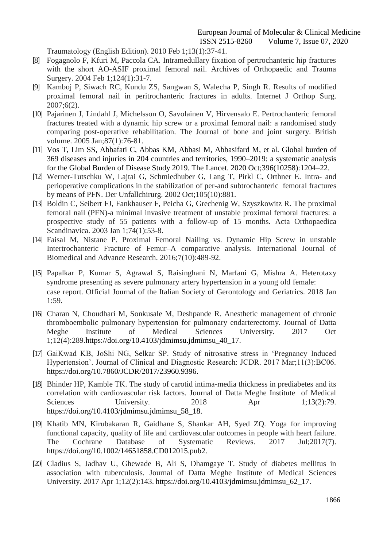European Journal of Molecular & Clinical Medicine ISSN 2515-8260 Volume 7, Issue 07, 2020

Traumatology (English Edition). 2010 Feb 1;13(1):37-41.

- [8] Fogagnolo F, Kfuri M, Paccola CA. Intramedullary fixation of pertrochanteric hip fractures with the short AO-ASIF proximal femoral nail. Archives of Orthopaedic and Trauma Surgery. 2004 Feb 1;124(1):31-7.
- [9] Kamboj P, Siwach RC, Kundu ZS, Sangwan S, Walecha P, Singh R. Results of modified proximal femoral nail in peritrochanteric fractures in adults. Internet J Orthop Surg. 2007;6(2).
- [10] Pajarinen J, Lindahl J, Michelsson O, Savolainen V, Hirvensalo E. Pertrochanteric femoral fractures treated with a dynamic hip screw or a proximal femoral nail: a randomised study comparing post-operative rehabilitation. The Journal of bone and joint surgery. British volume. 2005 Jan;87(1):76-81.
- [11] Vos T, Lim SS, Abbafati C, Abbas KM, Abbasi M, Abbasifard M, et al. Global burden of 369 diseases and injuries in 204 countries and territories, 1990–2019: a systematic analysis for the Global Burden of Disease Study 2019. The Lancet. 2020 Oct;396(10258):1204–22.
- [12] Werner-Tutschku W, Lajtai G, Schmiedhuber G, Lang T, Pirkl C, Orthner E. Intra- and perioperative complications in the stabilization of per-and subtrochanteric femoral fractures by means of PFN. Der Unfallchirurg. 2002 Oct;105(10):881.
- [13] Boldin C, Seibert FJ, Fankhauser F, Peicha G, Grechenig W, Szyszkowitz R. The proximal femoral nail (PFN)-a minimal invasive treatment of unstable proximal femoral fractures: a prospective study of 55 patients with a follow-up of 15 months. Acta Orthopaedica Scandinavica. 2003 Jan 1;74(1):53-8.
- [14] Faisal M, Nistane P. Proximal Femoral Nailing vs. Dynamic Hip Screw in unstable Intertrochanteric Fracture of Femur–A comparative analysis. International Journal of Biomedical and Advance Research. 2016;7(10):489-92.
- [15] Papalkar P, Kumar S, Agrawal S, Raisinghani N, Marfani G, Mishra A. Heterotaxy syndrome presenting as severe pulmonary artery hypertension in a young old female: case report. Official Journal of the Italian Society of Gerontology and Geriatrics. 2018 Jan 1:59.
- [16] Charan N, Choudhari M, Sonkusale M, Deshpande R. Anesthetic management of chronic thromboembolic pulmonary hypertension for pulmonary endarterectomy. Journal of Datta Meghe Institute of Medical Sciences University. 2017 Oct 1;12(4):289.https://doi.org/10.4103/jdmimsu.jdmimsu\_40\_17.
- [17] GaiKwad KB, JoShi NG, Selkar SP. Study of nitrosative stress in 'Pregnancy Induced Hypertension'. Journal of Clinical and Diagnostic Research: JCDR. 2017 Mar;11(3):BC06. https://doi.org/10.7860/JCDR/2017/23960.9396.
- [18] Bhinder HP, Kamble TK. The study of carotid intima-media thickness in prediabetes and its correlation with cardiovascular risk factors. Journal of Datta Meghe Institute of Medical Sciences University. 2018 Apr 1;13(2):79. https://doi.org/10.4103/jdmimsu.jdmimsu\_58\_18.
- [19] Khatib MN, Kirubakaran R, Gaidhane S, Shankar AH, Syed ZQ. Yoga for improving functional capacity, quality of life and cardiovascular outcomes in people with heart failure. The Cochrane Database of Systematic Reviews. 2017 Jul;2017(7). https://doi.org/10.1002/14651858.CD012015.pub2.
- [20] Cladius S, Jadhav U, Ghewade B, Ali S, Dhamgaye T. Study of diabetes mellitus in association with tuberculosis. Journal of Datta Meghe Institute of Medical Sciences University. 2017 Apr 1;12(2):143. https://doi.org/10.4103/jdmimsu.jdmimsu\_62\_17.